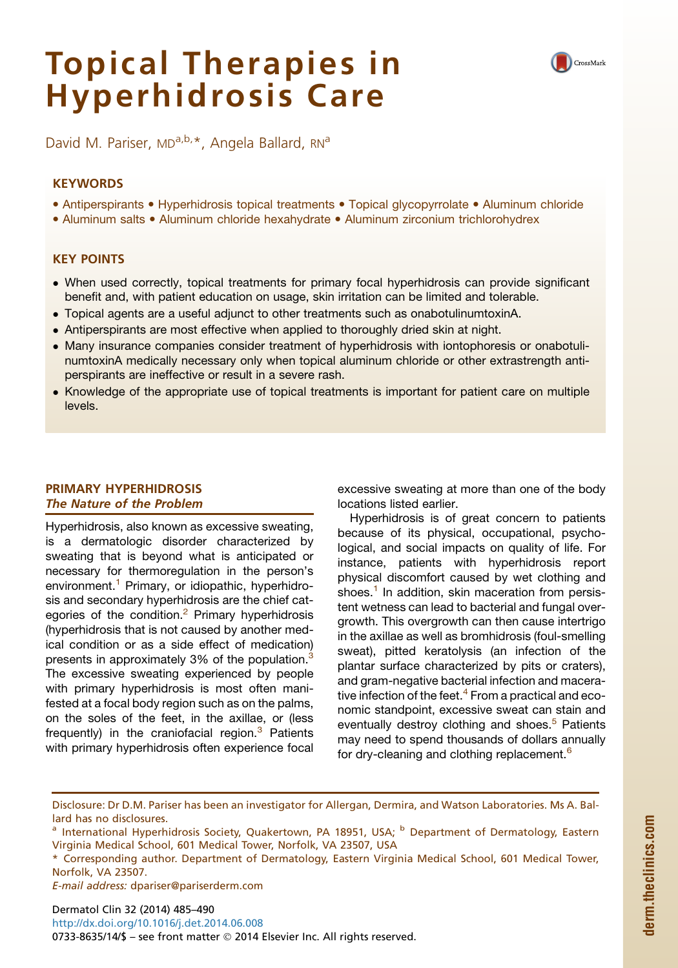# Topical The rapies in Hyperhidrosis Care



David M. Pariser, MD<sup>a,b,\*</sup>, Angela Ballard, RN<sup>a</sup>

# **KEYWORDS**

- Antiperspirants Hyperhidrosis topical treatments Topical glycopyrrolate Aluminum chloride
- Aluminum salts Aluminum chloride hexahydrate Aluminum zirconium trichlorohydrex

# KEY POINTS

- When used correctly, topical treatments for primary focal hyperhidrosis can provide significant benefit and, with patient education on usage, skin irritation can be limited and tolerable.
- Topical agents are a useful adjunct to other treatments such as onabotulinumtoxinA.
- Antiperspirants are most effective when applied to thoroughly dried skin at night.
- Many insurance companies consider treatment of hyperhidrosis with iontophoresis or onabotulinumtoxinA medically necessary only when topical aluminum chloride or other extrastrength antiperspirants are ineffective or result in a severe rash.
- Knowledge of the appropriate use of topical treatments is important for patient care on multiple levels.

# PRIMARY HYPERHIDROSIS The Nature of the Problem

Hyperhidrosis, also known as excessive sweating, is a dermatologic disorder characterized by sweating that is beyond what is anticipated or necessary for thermoregulation in the person's environment.<sup>[1](#page-5-0)</sup> Primary, or idiopathic, hyperhidrosis and secondary hyperhidrosis are the chief cat-egories of the condition.<sup>[2](#page-5-0)</sup> Primary hyperhidrosis (hyperhidrosis that is not caused by another medical condition or as a side effect of medication) presents in approximately [3](#page-5-0)% of the population.<sup>3</sup> The excessive sweating experienced by people with primary hyperhidrosis is most often manifested at a focal body region such as on the palms, on the soles of the feet, in the axillae, or (less frequently) in the craniofacial region. $3$  Patients with primary hyperhidrosis often experience focal excessive sweating at more than one of the body locations listed earlier.

Hyperhidrosis is of great concern to patients because of its physical, occupational, psychological, and social impacts on quality of life. For instance, patients with hyperhidrosis report physical discomfort caused by wet clothing and shoes.<sup>[1](#page-5-0)</sup> In addition, skin maceration from persistent wetness can lead to bacterial and fungal overgrowth. This overgrowth can then cause intertrigo in the axillae as well as bromhidrosis (foul-smelling sweat), pitted keratolysis (an infection of the plantar surface characterized by pits or craters), and gram-negative bacterial infection and macera-tive infection of the feet.<sup>[4](#page-5-0)</sup> From a practical and economic standpoint, excessive sweat can stain and eventually destroy clothing and shoes.<sup>[5](#page-5-0)</sup> Patients may need to spend thousands of dollars annually for dry-cleaning and clothing replacement.<sup>[6](#page-5-0)</sup>

E-mail address: [dpariser@pariserderm.com](mailto:dpariser@pariserderm.com)

Dermatol Clin 32 (2014) 485–490 <http://dx.doi.org/10.1016/j.det.2014.06.008> 0733-8635/14/\$ - see front matter © 2014 Elsevier Inc. All rights reserved.

Disclosure: Dr D.M. Pariser has been an investigator for Allergan, Dermira, and Watson Laboratories. Ms A. Ballard has no disclosures.

<sup>&</sup>lt;sup>a</sup> International Hyperhidrosis Society, Quakertown, PA 18951, USA; <sup>b</sup> Department of Dermatology, Eastern Virginia Medical School, 601 Medical Tower, Norfolk, VA 23507, USA

<sup>\*</sup> Corresponding author. Department of Dermatology, Eastern Virginia Medical School, 601 Medical Tower, Norfolk, VA 23507.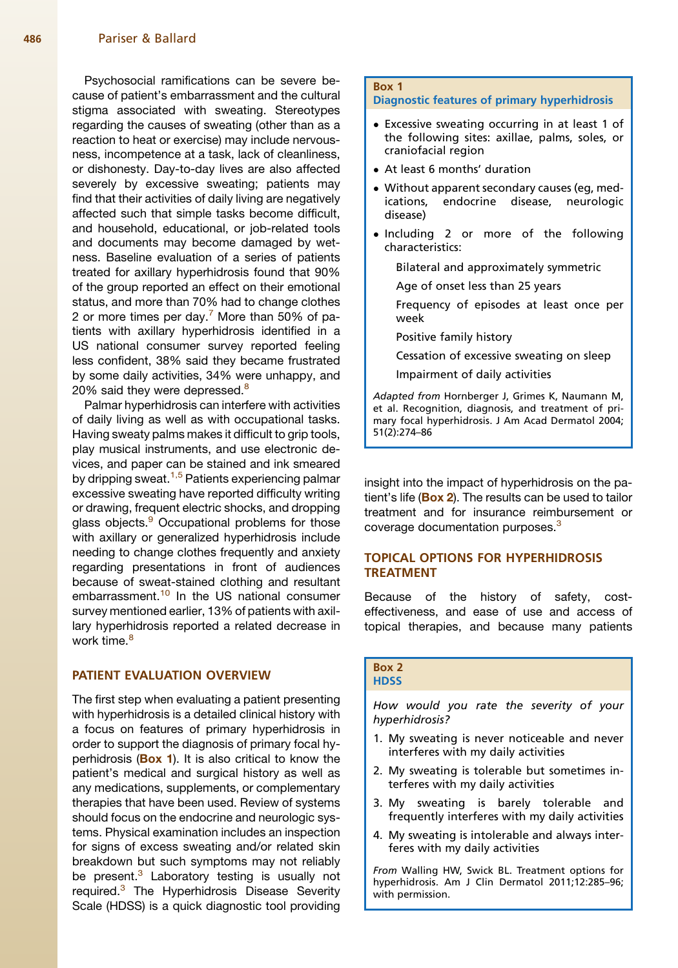#### 486 Pariser & Ballard

Psychosocial ramifications can be severe because of patient's embarrassment and the cultural stigma associated with sweating. Stereotypes regarding the causes of sweating (other than as a reaction to heat or exercise) may include nervousness, incompetence at a task, lack of cleanliness, or dishonesty. Day-to-day lives are also affected severely by excessive sweating; patients may find that their activities of daily living are negatively affected such that simple tasks become difficult, and household, educational, or job-related tools and documents may become damaged by wetness. Baseline evaluation of a series of patients treated for axillary hyperhidrosis found that 90% of the group reported an effect on their emotional status, and more than 70% had to change clothes 2 or more times per day. $^7$  $^7$  More than 50% of patients with axillary hyperhidrosis identified in a US national consumer survey reported feeling less confident, 38% said they became frustrated by some daily activities, 34% were unhappy, and 20% said they were depressed.<sup>[8](#page-5-0)</sup>

Palmar hyperhidrosis can interfere with activities of daily living as well as with occupational tasks. Having sweaty palms makes it difficult to grip tools, play musical instruments, and use electronic devices, and paper can be stained and ink smeared by dripping sweat.<sup>[1,5](#page-5-0)</sup> Patients experiencing palmar excessive sweating have reported difficulty writing or drawing, frequent electric shocks, and dropping glass objects.<sup>[9](#page-5-0)</sup> Occupational problems for those with axillary or generalized hyperhidrosis include needing to change clothes frequently and anxiety regarding presentations in front of audiences because of sweat-stained clothing and resultant embarrassment.<sup>[10](#page-5-0)</sup> In the US national consumer survey mentioned earlier, 13% of patients with axillary hyperhidrosis reported a related decrease in work time.<sup>[8](#page-5-0)</sup>

### PATIENT EVALUATION OVERVIEW

The first step when evaluating a patient presenting with hyperhidrosis is a detailed clinical history with a focus on features of primary hyperhidrosis in order to support the diagnosis of primary focal hyperhidrosis (Box 1). It is also critical to know the patient's medical and surgical history as well as any medications, supplements, or complementary therapies that have been used. Review of systems should focus on the endocrine and neurologic systems. Physical examination includes an inspection for signs of excess sweating and/or related skin breakdown but such symptoms may not reliably be present.<sup>[3](#page-5-0)</sup> Laboratory testing is usually not required.<sup>[3](#page-5-0)</sup> The Hyperhidrosis Disease Severity Scale (HDSS) is a quick diagnostic tool providing

#### Box 1

#### Diagnostic features of primary hyperhidrosis

- Excessive sweating occurring in at least 1 of the following sites: axillae, palms, soles, or craniofacial region
- At least 6 months' duration
- Without apparent secondary causes (eg, med-<br>ications, endocrine disease, neurologic endocrine disease, disease)
- Including 2 or more of the following characteristics:

Bilateral and approximately symmetric

Age of onset less than 25 years

Frequency of episodes at least once per week

Positive family history

Cessation of excessive sweating on sleep

Impairment of daily activities

Adapted from Hornberger J, Grimes K, Naumann M, et al. Recognition, diagnosis, and treatment of primary focal hyperhidrosis. J Am Acad Dermatol 2004; 51(2):274–86

insight into the impact of hyperhidrosis on the patient's life (**Box 2**). The results can be used to tailor treatment and for insurance reimbursement or coverage documentation purposes.<sup>[3](#page-5-0)</sup>

# TOPICAL OPTIONS FOR HYPERHIDROSIS **TREATMENT**

Because of the history of safety, costeffectiveness, and ease of use and access of topical therapies, and because many patients

#### Box 2 **HDSS**

How would you rate the severity of your hyperhidrosis?

- 1. My sweating is never noticeable and never interferes with my daily activities
- 2. My sweating is tolerable but sometimes interferes with my daily activities
- 3. My sweating is barely tolerable and frequently interferes with my daily activities
- 4. My sweating is intolerable and always interferes with my daily activities

From Walling HW, Swick BL. Treatment options for hyperhidrosis. Am J Clin Dermatol 2011;12:285–96; with permission.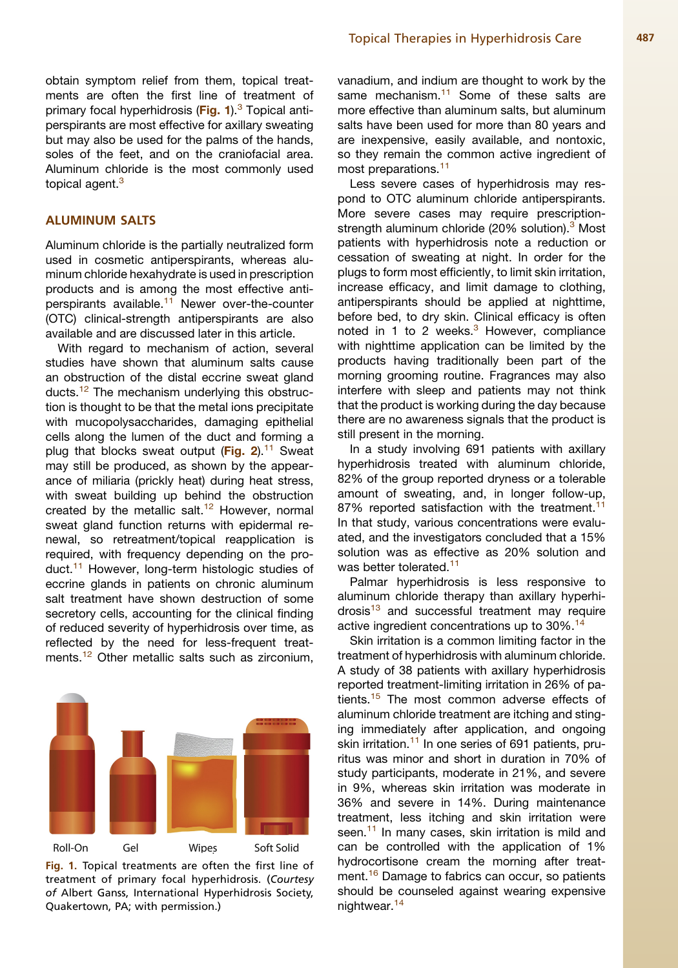#### ALUMINUM SALTS

Aluminum chloride is the partially neutralized form used in cosmetic antiperspirants, whereas aluminum chloride hexahydrate is used in prescription products and is among the most effective anti-perspirants available.<sup>[11](#page-5-0)</sup> Newer over-the-counter (OTC) clinical-strength antiperspirants are also available and are discussed later in this article.

With regard to mechanism of action, several studies have shown that aluminum salts cause an obstruction of the distal eccrine sweat gland ducts.<sup>[12](#page-5-0)</sup> The mechanism underlying this obstruction is thought to be that the metal ions precipitate with mucopolysaccharides, damaging epithelial cells along the lumen of the duct and forming a plug that blocks sweat output ([Fig. 2](#page-3-0)).<sup>11</sup> Sweat may still be produced, as shown by the appearance of miliaria (prickly heat) during heat stress, with sweat building up behind the obstruction created by the metallic salt.<sup>[12](#page-5-0)</sup> However, normal sweat gland function returns with epidermal renewal, so retreatment/topical reapplication is required, with frequency depending on the pro-duct.<sup>[11](#page-5-0)</sup> However, long-term histologic studies of eccrine glands in patients on chronic aluminum salt treatment have shown destruction of some secretory cells, accounting for the clinical finding of reduced severity of hyperhidrosis over time, as reflected by the need for less-frequent treat-ments.<sup>[12](#page-5-0)</sup> Other metallic salts such as zirconium.



Fig. 1. Topical treatments are often the first line of treatment of primary focal hyperhidrosis. (Courtesy of Albert Ganss, International Hyperhidrosis Society, Quakertown, PA; with permission.)

vanadium, and indium are thought to work by the same mechanism.<sup>[11](#page-5-0)</sup> Some of these salts are more effective than aluminum salts, but aluminum salts have been used for more than 80 years and are inexpensive, easily available, and nontoxic, so they remain the common active ingredient of most preparations.[11](#page-5-0)

Less severe cases of hyperhidrosis may respond to OTC aluminum chloride antiperspirants. More severe cases may require prescription-strength aluminum chloride (20% solution).<sup>[3](#page-5-0)</sup> Most patients with hyperhidrosis note a reduction or cessation of sweating at night. In order for the plugs to form most efficiently, to limit skin irritation, increase efficacy, and limit damage to clothing, antiperspirants should be applied at nighttime, before bed, to dry skin. Clinical efficacy is often noted in 1 to 2 weeks. $3$  However, compliance with nighttime application can be limited by the products having traditionally been part of the morning grooming routine. Fragrances may also interfere with sleep and patients may not think that the product is working during the day because there are no awareness signals that the product is still present in the morning.

In a study involving 691 patients with axillary hyperhidrosis treated with aluminum chloride, 82% of the group reported dryness or a tolerable amount of sweating, and, in longer follow-up, 87% reported satisfaction with the treatment.<sup>[11](#page-5-0)</sup> In that study, various concentrations were evaluated, and the investigators concluded that a 15% solution was as effective as 20% solution and was better tolerated.<sup>[11](#page-5-0)</sup>

Palmar hyperhidrosis is less responsive to aluminum chloride therapy than axillary hyperhi-drosis<sup>[13](#page-5-0)</sup> and successful treatment may require active ingredient concentrations up to 30%.<sup>[14](#page-5-0)</sup>

Skin irritation is a common limiting factor in the treatment of hyperhidrosis with aluminum chloride. A study of 38 patients with axillary hyperhidrosis reported treatment-limiting irritation in 26% of pa-tients.<sup>[15](#page-5-0)</sup> The most common adverse effects of aluminum chloride treatment are itching and stinging immediately after application, and ongoing skin irritation.<sup>[11](#page-5-0)</sup> In one series of 691 patients, pruritus was minor and short in duration in 70% of study participants, moderate in 21%, and severe in 9%, whereas skin irritation was moderate in 36% and severe in 14%. During maintenance treatment, less itching and skin irritation were seen.<sup>[11](#page-5-0)</sup> In many cases, skin irritation is mild and can be controlled with the application of 1% hydrocortisone cream the morning after treat-ment.<sup>[16](#page-5-0)</sup> Damage to fabrics can occur, so patients should be counseled against wearing expensive nightwear.[14](#page-5-0)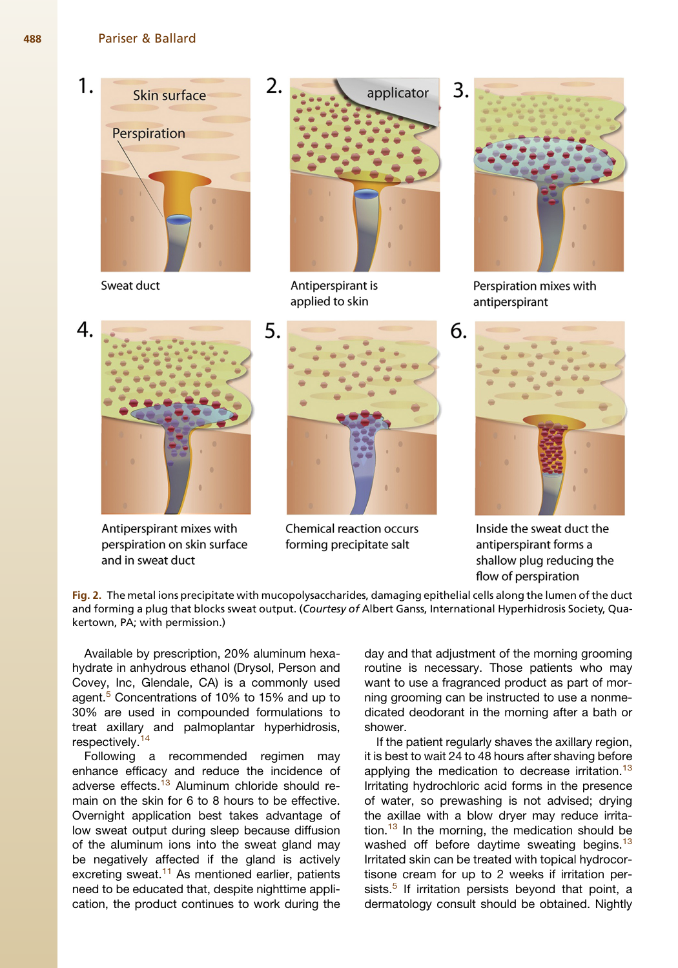#### <span id="page-3-0"></span>488 Pariser & Ballard



Sweat duct



Antiperspirant is applied to skin





Perspiration mixes with antiperspirant



Antiperspirant mixes with perspiration on skin surface and in sweat duct



**Chemical reaction occurs** forming precipitate salt



Inside the sweat duct the antiperspirant forms a shallow plug reducing the flow of perspiration

Fig. 2. The metal ions precipitate with mucopolysaccharides, damaging epithelial cells along the lumen of the duct and forming a plug that blocks sweat output. (Courtesy of Albert Ganss, International Hyperhidrosis Society, Quakertown, PA; with permission.)

Available by prescription, 20% aluminum hexahydrate in anhydrous ethanol (Drysol, Person and Covey, Inc, Glendale, CA) is a commonly used agent.<sup>[5](#page-5-0)</sup> Concentrations of 10% to 15% and up to 30% are used in compounded formulations to treat axillary and palmoplantar hyperhidrosis, respectively.[14](#page-5-0)

Following a recommended regimen may enhance efficacy and reduce the incidence of adverse effects.<sup>[13](#page-5-0)</sup> Aluminum chloride should remain on the skin for 6 to 8 hours to be effective. Overnight application best takes advantage of low sweat output during sleep because diffusion of the aluminum ions into the sweat gland may be negatively affected if the gland is actively excreting sweat.<sup>11</sup> As mentioned earlier, patients need to be educated that, despite nighttime application, the product continues to work during the

day and that adjustment of the morning grooming routine is necessary. Those patients who may want to use a fragranced product as part of morning grooming can be instructed to use a nonmedicated deodorant in the morning after a bath or shower.

If the patient regularly shaves the axillary region, it is best to wait 24 to 48 hours after shaving before applying the medication to decrease irritation.<sup>[13](#page-5-0)</sup> Irritating hydrochloric acid forms in the presence of water, so prewashing is not advised; drying the axillae with a blow dryer may reduce irritation. $13$  In the morning, the medication should be washed off before daytime sweating begins.<sup>[13](#page-5-0)</sup> Irritated skin can be treated with topical hydrocortisone cream for up to 2 weeks if irritation per-sists.<sup>[5](#page-5-0)</sup> If irritation persists beyond that point, a dermatology consult should be obtained. Nightly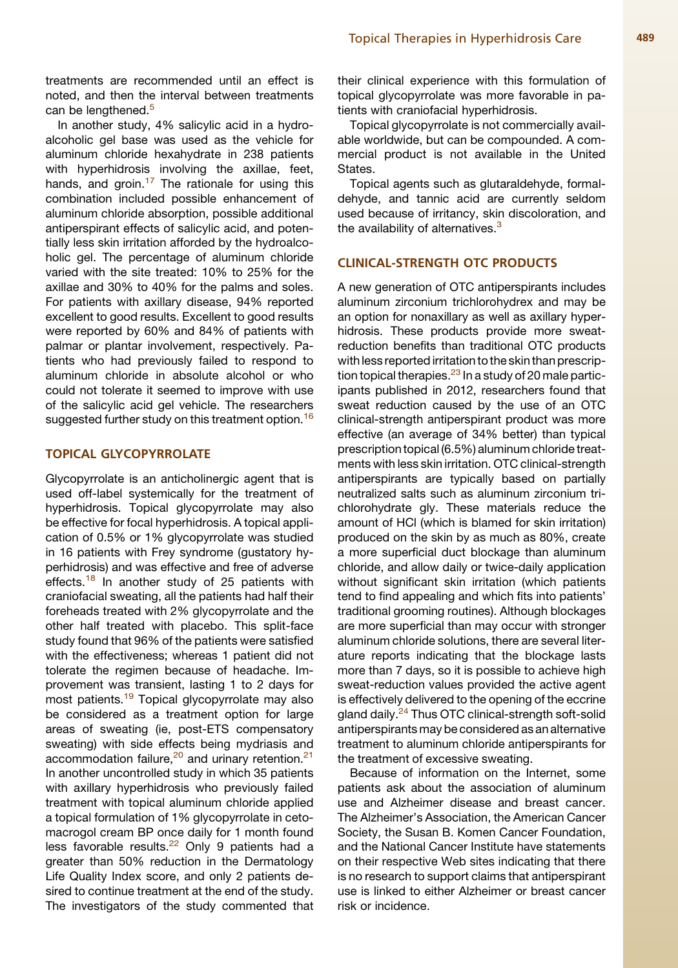treatments are recommended until an effect is noted, and then the interval between treatments can be lengthened.<sup>5</sup>

In another study, 4% salicylic acid in a hydroalcoholic gel base was used as the vehicle for aluminum chloride hexahydrate in 238 patients with hyperhidrosis involving the axillae, feet, hands, and groin.<sup>[17](#page-5-0)</sup> The rationale for using this combination included possible enhancement of aluminum chloride absorption, possible additional antiperspirant effects of salicylic acid, and potentially less skin irritation afforded by the hydroalcoholic gel. The percentage of aluminum chloride varied with the site treated: 10% to 25% for the axillae and 30% to 40% for the palms and soles. For patients with axillary disease, 94% reported excellent to good results. Excellent to good results were reported by 60% and 84% of patients with palmar or plantar involvement, respectively. Patients who had previously failed to respond to aluminum chloride in absolute alcohol or who could not tolerate it seemed to improve with use of the salicylic acid gel vehicle. The researchers suggested further study on this treatment option.<sup>[16](#page-5-0)</sup>

# TOPICAL GLYCOPYRROLATE

Glycopyrrolate is an anticholinergic agent that is used off-label systemically for the treatment of hyperhidrosis. Topical glycopyrrolate may also be effective for focal hyperhidrosis. A topical application of 0.5% or 1% glycopyrrolate was studied in 16 patients with Frey syndrome (gustatory hyperhidrosis) and was effective and free of adverse effects.<sup>[18](#page-5-0)</sup> In another study of 25 patients with craniofacial sweating, all the patients had half their foreheads treated with 2% glycopyrrolate and the other half treated with placebo. This split-face study found that 96% of the patients were satisfied with the effectiveness; whereas 1 patient did not tolerate the regimen because of headache. Improvement was transient, lasting 1 to 2 days for most patients.<sup>[19](#page-5-0)</sup> Topical glycopyrrolate may also be considered as a treatment option for large areas of sweating (ie, post-ETS compensatory sweating) with side effects being mydriasis and accommodation failure, $20$  and urinary retention. $21$ In another uncontrolled study in which 35 patients with axillary hyperhidrosis who previously failed treatment with topical aluminum chloride applied a topical formulation of 1% glycopyrrolate in cetomacrogol cream BP once daily for 1 month found less favorable results. $22$  Only 9 patients had a greater than 50% reduction in the Dermatology Life Quality Index score, and only 2 patients desired to continue treatment at the end of the study. The investigators of the study commented that their clinical experience with this formulation of topical glycopyrrolate was more favorable in patients with craniofacial hyperhidrosis.

Topical glycopyrrolate is not commercially available worldwide, but can be compounded. A commercial product is not available in the United States.

Topical agents such as glutaraldehyde, formaldehyde, and tannic acid are currently seldom used because of irritancy, skin discoloration, and the availability of alternatives.<sup>[3](#page-5-0)</sup>

# CLINICAL-STRENGTH OTC PRODUCTS

A new generation of OTC antiperspirants includes aluminum zirconium trichlorohydrex and may be an option for nonaxillary as well as axillary hyperhidrosis. These products provide more sweatreduction benefits than traditional OTC products with less reported irritation to the skin than prescription topical therapies.<sup>23</sup> In a study of 20 male participants published in 2012, researchers found that sweat reduction caused by the use of an OTC clinical-strength antiperspirant product was more effective (an average of 34% better) than typical prescription topical (6.5%) aluminum chloride treatments with less skin irritation. OTC clinical-strength antiperspirants are typically based on partially neutralized salts such as aluminum zirconium trichlorohydrate gly. These materials reduce the amount of HCl (which is blamed for skin irritation) produced on the skin by as much as 80%, create a more superficial duct blockage than aluminum chloride, and allow daily or twice-daily application without significant skin irritation (which patients tend to find appealing and which fits into patients' traditional grooming routines). Although blockages are more superficial than may occur with stronger aluminum chloride solutions, there are several literature reports indicating that the blockage lasts more than 7 days, so it is possible to achieve high sweat-reduction values provided the active agent is effectively delivered to the opening of the eccrine gland daily.<sup>24</sup> Thus OTC clinical-strength soft-solid antiperspirants may be considered as an alternative treatment to aluminum chloride antiperspirants for the treatment of excessive sweating.

Because of information on the Internet, some patients ask about the association of aluminum use and Alzheimer disease and breast cancer. The Alzheimer's Association, the American Cancer Society, the Susan B. Komen Cancer Foundation, and the National Cancer Institute have statements on their respective Web sites indicating that there is no research to support claims that antiperspirant use is linked to either Alzheimer or breast cancer risk or incidence.